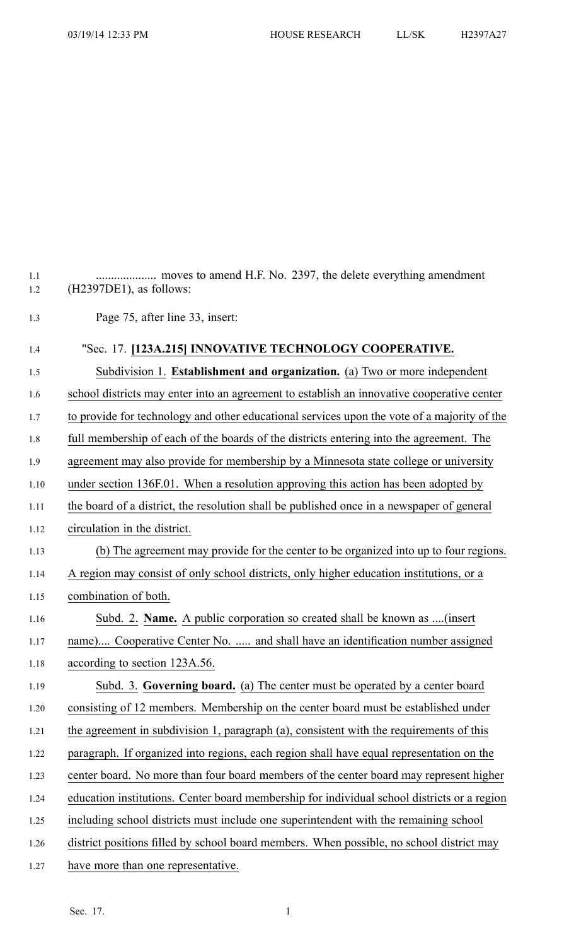| 1.1<br>1.2 | $(H2397DE1)$ , as follows:                                                                  |
|------------|---------------------------------------------------------------------------------------------|
| 1.3        | Page 75, after line 33, insert:                                                             |
| 1.4        | "Sec. 17. [123A.215] INNOVATIVE TECHNOLOGY COOPERATIVE.                                     |
| 1.5        | Subdivision 1. Establishment and organization. (a) Two or more independent                  |
| 1.6        | school districts may enter into an agreement to establish an innovative cooperative center  |
| 1.7        | to provide for technology and other educational services upon the vote of a majority of the |
| 1.8        | full membership of each of the boards of the districts entering into the agreement. The     |
| 1.9        | agreement may also provide for membership by a Minnesota state college or university        |
| 1.10       | under section 136F.01. When a resolution approving this action has been adopted by          |
| 1.11       | the board of a district, the resolution shall be published once in a newspaper of general   |
| 1.12       | circulation in the district.                                                                |
| 1.13       | (b) The agreement may provide for the center to be organized into up to four regions.       |
| 1.14       | A region may consist of only school districts, only higher education institutions, or a     |
| 1.15       | combination of both.                                                                        |
| 1.16       | Subd. 2. Name. A public corporation so created shall be known as (insert                    |
| 1.17       | name) Cooperative Center No.  and shall have an identification number assigned              |
| 1.18       | according to section 123A.56.                                                               |
| 1.19       | Subd. 3. Governing board. (a) The center must be operated by a center board                 |
| 1.20       | consisting of 12 members. Membership on the center board must be established under          |
| 1.21       | the agreement in subdivision 1, paragraph (a), consistent with the requirements of this     |
| 1.22       | paragraph. If organized into regions, each region shall have equal representation on the    |
| 1.23       | center board. No more than four board members of the center board may represent higher      |
| 1.24       | education institutions. Center board membership for individual school districts or a region |
| 1.25       | including school districts must include one superintendent with the remaining school        |
| 1.26       | district positions filled by school board members. When possible, no school district may    |
| 1.27       | have more than one representative.                                                          |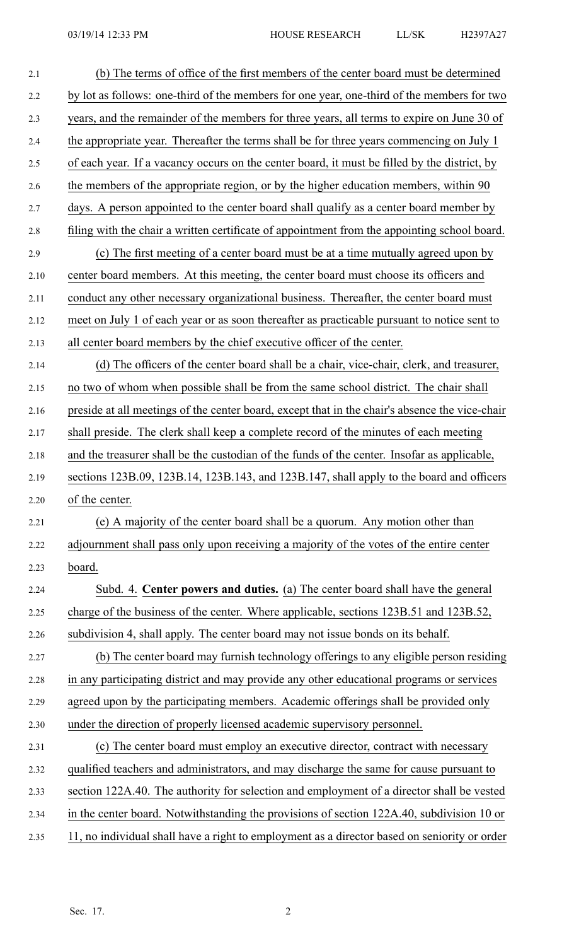| 2.1  | (b) The terms of office of the first members of the center board must be determined            |
|------|------------------------------------------------------------------------------------------------|
| 2.2  | by lot as follows: one-third of the members for one year, one-third of the members for two     |
| 2.3  | years, and the remainder of the members for three years, all terms to expire on June 30 of     |
| 2.4  | the appropriate year. Thereafter the terms shall be for three years commencing on July 1       |
| 2.5  | of each year. If a vacancy occurs on the center board, it must be filled by the district, by   |
| 2.6  | the members of the appropriate region, or by the higher education members, within 90           |
| 2.7  | days. A person appointed to the center board shall qualify as a center board member by         |
| 2.8  | filing with the chair a written certificate of appointment from the appointing school board.   |
| 2.9  | (c) The first meeting of a center board must be at a time mutually agreed upon by              |
| 2.10 | center board members. At this meeting, the center board must choose its officers and           |
| 2.11 | conduct any other necessary organizational business. Thereafter, the center board must         |
| 2.12 | meet on July 1 of each year or as soon thereafter as practicable pursuant to notice sent to    |
| 2.13 | all center board members by the chief executive officer of the center.                         |
| 2.14 | (d) The officers of the center board shall be a chair, vice-chair, clerk, and treasurer,       |
| 2.15 | no two of whom when possible shall be from the same school district. The chair shall           |
| 2.16 | preside at all meetings of the center board, except that in the chair's absence the vice-chair |
| 2.17 | shall preside. The clerk shall keep a complete record of the minutes of each meeting           |
| 2.18 | and the treasurer shall be the custodian of the funds of the center. Insofar as applicable,    |
| 2.19 | sections 123B.09, 123B.14, 123B.143, and 123B.147, shall apply to the board and officers       |
| 2.20 | of the center.                                                                                 |
| 2.21 | (e) A majority of the center board shall be a quorum. Any motion other than                    |
| 2.22 | adjournment shall pass only upon receiving a majority of the votes of the entire center        |
| 2.23 | board.                                                                                         |
| 2.24 | Subd. 4. Center powers and duties. (a) The center board shall have the general                 |
| 2.25 | charge of the business of the center. Where applicable, sections 123B.51 and 123B.52,          |
| 2.26 | subdivision 4, shall apply. The center board may not issue bonds on its behalf.                |
| 2.27 | (b) The center board may furnish technology offerings to any eligible person residing          |
| 2.28 | in any participating district and may provide any other educational programs or services       |
| 2.29 | agreed upon by the participating members. Academic offerings shall be provided only            |
| 2.30 | under the direction of properly licensed academic supervisory personnel.                       |
| 2.31 | (c) The center board must employ an executive director, contract with necessary                |
| 2.32 | qualified teachers and administrators, and may discharge the same for cause pursuant to        |
| 2.33 | section 122A.40. The authority for selection and employment of a director shall be vested      |
| 2.34 | in the center board. Notwithstanding the provisions of section 122A.40, subdivision 10 or      |
| 2.35 | 11, no individual shall have a right to employment as a director based on seniority or order   |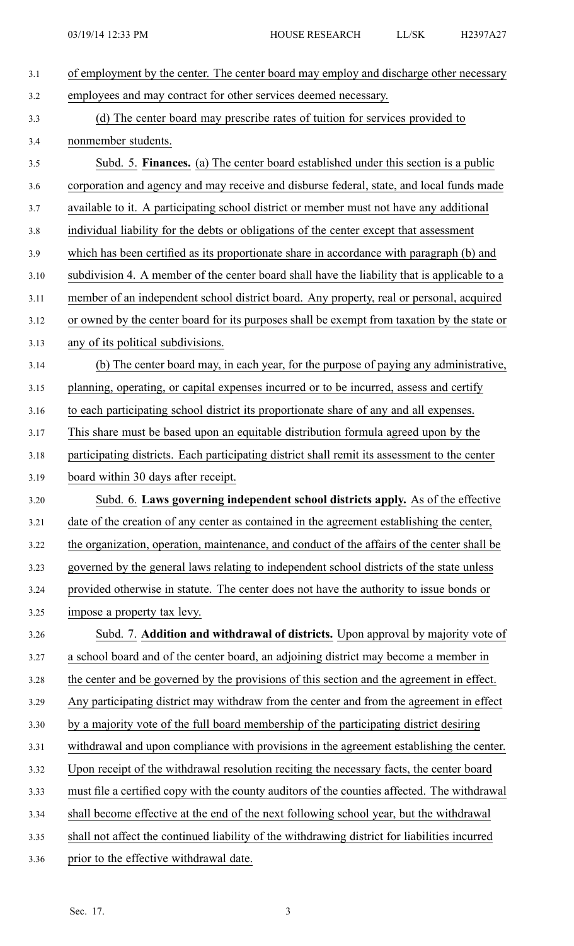| 3.1  | of employment by the center. The center board may employ and discharge other necessary        |
|------|-----------------------------------------------------------------------------------------------|
| 3.2  | employees and may contract for other services deemed necessary.                               |
| 3.3  | (d) The center board may prescribe rates of tuition for services provided to                  |
| 3.4  | nonmember students.                                                                           |
| 3.5  | Subd. 5. Finances. (a) The center board established under this section is a public            |
| 3.6  | corporation and agency and may receive and disburse federal, state, and local funds made      |
| 3.7  | available to it. A participating school district or member must not have any additional       |
| 3.8  | individual liability for the debts or obligations of the center except that assessment        |
| 3.9  | which has been certified as its proportionate share in accordance with paragraph (b) and      |
| 3.10 | subdivision 4. A member of the center board shall have the liability that is applicable to a  |
| 3.11 | member of an independent school district board. Any property, real or personal, acquired      |
| 3.12 | or owned by the center board for its purposes shall be exempt from taxation by the state or   |
| 3.13 | any of its political subdivisions.                                                            |
| 3.14 | (b) The center board may, in each year, for the purpose of paying any administrative,         |
| 3.15 | planning, operating, or capital expenses incurred or to be incurred, assess and certify       |
| 3.16 | to each participating school district its proportionate share of any and all expenses.        |
| 3.17 | This share must be based upon an equitable distribution formula agreed upon by the            |
| 3.18 | participating districts. Each participating district shall remit its assessment to the center |
| 3.19 | board within 30 days after receipt.                                                           |
| 3.20 | Subd. 6. Laws governing independent school districts apply. As of the effective               |
| 3.21 | date of the creation of any center as contained in the agreement establishing the center,     |
| 3.22 | the organization, operation, maintenance, and conduct of the affairs of the center shall be   |
| 3.23 | governed by the general laws relating to independent school districts of the state unless     |
| 3.24 | provided otherwise in statute. The center does not have the authority to issue bonds or       |
| 3.25 | impose a property tax levy.                                                                   |
| 3.26 | Subd. 7. Addition and withdrawal of districts. Upon approval by majority vote of              |
| 3.27 | a school board and of the center board, an adjoining district may become a member in          |
| 3.28 | the center and be governed by the provisions of this section and the agreement in effect.     |
| 3.29 | Any participating district may withdraw from the center and from the agreement in effect      |
| 3.30 | by a majority vote of the full board membership of the participating district desiring        |
| 3.31 | withdrawal and upon compliance with provisions in the agreement establishing the center.      |
| 3.32 | Upon receipt of the withdrawal resolution reciting the necessary facts, the center board      |
| 3.33 | must file a certified copy with the county auditors of the counties affected. The withdrawal  |
| 3.34 | shall become effective at the end of the next following school year, but the withdrawal       |
| 3.35 | shall not affect the continued liability of the withdrawing district for liabilities incurred |
| 3.36 | prior to the effective withdrawal date.                                                       |